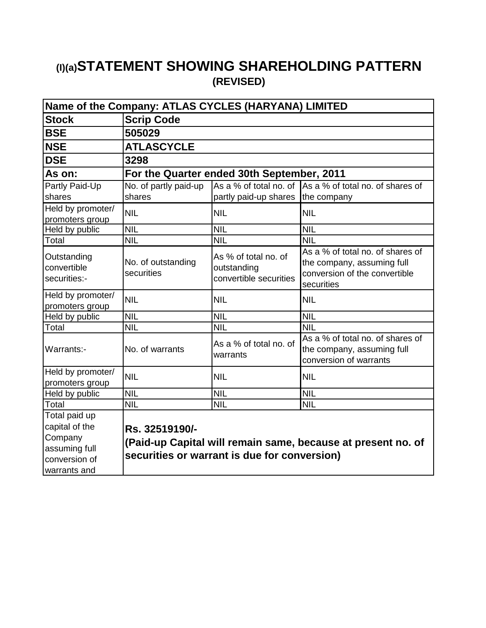## **(I)(a)STATEMENT SHOWING SHAREHOLDING PATTERN (REVISED)**

| Name of the Company: ATLAS CYCLES (HARYANA) LIMITED |                                  |                                                               |                                                                                                               |  |  |  |
|-----------------------------------------------------|----------------------------------|---------------------------------------------------------------|---------------------------------------------------------------------------------------------------------------|--|--|--|
| <b>Stock</b>                                        | <b>Scrip Code</b>                |                                                               |                                                                                                               |  |  |  |
| <b>BSE</b>                                          | 505029                           |                                                               |                                                                                                               |  |  |  |
| <b>NSE</b>                                          | <b>ATLASCYCLE</b>                |                                                               |                                                                                                               |  |  |  |
| <b>DSE</b>                                          | 3298                             |                                                               |                                                                                                               |  |  |  |
| As on:                                              |                                  | For the Quarter ended 30th September, 2011                    |                                                                                                               |  |  |  |
| Partly Paid-Up                                      | No. of partly paid-up            |                                                               | As a % of total no. of As a % of total no. of shares of                                                       |  |  |  |
| shares                                              | shares                           | partly paid-up shares                                         | the company                                                                                                   |  |  |  |
| Held by promoter/<br>promoters group                | <b>NIL</b>                       | <b>NIL</b>                                                    | <b>NIL</b>                                                                                                    |  |  |  |
| Held by public                                      | NIL                              | NIL                                                           | <b>NIL</b>                                                                                                    |  |  |  |
| Total                                               | <b>NIL</b>                       | <b>NIL</b>                                                    | <b>NIL</b>                                                                                                    |  |  |  |
| Outstanding<br>convertible<br>securities:-          | No. of outstanding<br>securities | As % of total no. of<br>outstanding<br>convertible securities | As a % of total no, of shares of<br>the company, assuming full<br>conversion of the convertible<br>securities |  |  |  |
| Held by promoter/<br>promoters group                | <b>NIL</b>                       | <b>NIL</b>                                                    | <b>NIL</b>                                                                                                    |  |  |  |
| Held by public                                      | <b>NIL</b>                       | <b>NIL</b>                                                    | <b>NIL</b>                                                                                                    |  |  |  |
| Total                                               | <b>NIL</b>                       | <b>NIL</b>                                                    | <b>NIL</b>                                                                                                    |  |  |  |
| Warrants:-                                          | No. of warrants                  | As a % of total no, of<br>warrants                            | As a % of total no. of shares of<br>the company, assuming full<br>conversion of warrants                      |  |  |  |
| Held by promoter/                                   | <b>NIL</b>                       | <b>NIL</b>                                                    | <b>NIL</b>                                                                                                    |  |  |  |
| promoters group                                     |                                  |                                                               |                                                                                                               |  |  |  |
| Held by public                                      | <b>NIL</b>                       | <b>NIL</b>                                                    | <b>NIL</b>                                                                                                    |  |  |  |
| Total                                               | <b>NIL</b>                       | <b>NIL</b>                                                    | <b>NIL</b>                                                                                                    |  |  |  |
| Total paid up                                       |                                  |                                                               |                                                                                                               |  |  |  |
| capital of the                                      | Rs. 32519190/-                   |                                                               |                                                                                                               |  |  |  |
| Company                                             |                                  |                                                               | (Paid-up Capital will remain same, because at present no. of                                                  |  |  |  |
| assuming full<br>conversion of                      |                                  | securities or warrant is due for conversion)                  |                                                                                                               |  |  |  |
|                                                     |                                  |                                                               |                                                                                                               |  |  |  |
| warrants and                                        |                                  |                                                               |                                                                                                               |  |  |  |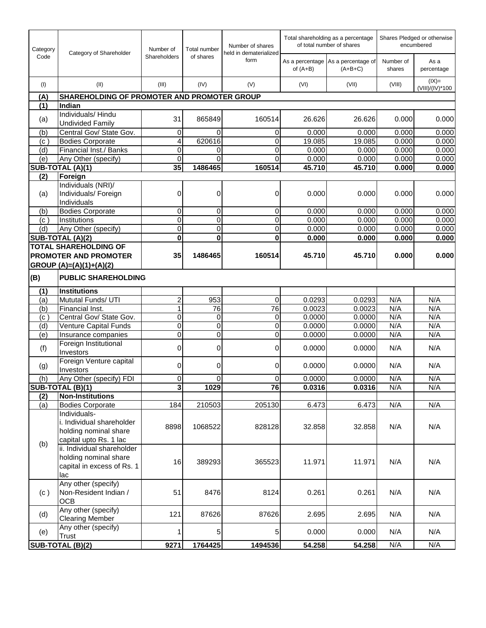| Category          | Category of Shareholder                                                                  | Number of<br>Shareholders | <b>Total number</b><br>of shares | Number of shares<br>held in dematerialized | Total shareholding as a percentage<br>of total number of shares |                                                 | Shares Pledged or otherwise<br>encumbered |                            |
|-------------------|------------------------------------------------------------------------------------------|---------------------------|----------------------------------|--------------------------------------------|-----------------------------------------------------------------|-------------------------------------------------|-------------------------------------------|----------------------------|
| Code              |                                                                                          |                           |                                  | form                                       | of $(A+B)$                                                      | As a percentage As a percentage of<br>$(A+B+C)$ | Number of<br>shares                       | As a<br>percentage         |
| (1)               | (II)                                                                                     | (III)                     | (IV)                             | (V)                                        | (VI)                                                            | (VII)                                           | (VIII)                                    | $(IX)=$<br>(VIII)/(IV)*100 |
| (A)               | <b>SHAREHOLDING OF PROMOTER AND PROMOTER GROUP</b>                                       |                           |                                  |                                            |                                                                 |                                                 |                                           |                            |
| (1)               | Indian                                                                                   |                           |                                  |                                            |                                                                 |                                                 |                                           |                            |
| (a)               | Individuals/Hindu<br><b>Undivided Family</b>                                             | 31                        | 865849                           | 160514                                     | 26.626                                                          | 26.626                                          | 0.000                                     | 0.000                      |
| (b)               | Central Gov/ State Gov.                                                                  | 0                         | 0                                | 0                                          | 0.000                                                           | 0.000                                           | 0.000                                     | 0.000                      |
| $(c^{\prime})$    | <b>Bodies Corporate</b>                                                                  | 4                         | 620616                           | 0                                          | 19.085                                                          | 19.085                                          | 0.000                                     | 0.000                      |
| (d)               | Financial Inst./ Banks                                                                   | 0                         | 0                                | 0                                          | 0.000                                                           | 0.000                                           | 0.000                                     | 0.000                      |
| (e)               | Any Other (specify)                                                                      | $\mathbf 0$               | 0                                | 0                                          | 0.000                                                           | 0.000                                           | 0.000                                     | 0.000                      |
|                   | SUB-TOTAL (A)(1)                                                                         | 35                        | 1486465                          | 160514                                     | 45.710                                                          | 45.710                                          | 0.000                                     | 0.000                      |
| (2)               | Foreign                                                                                  |                           |                                  |                                            |                                                                 |                                                 |                                           |                            |
| (a)               | Individuals (NRI)/<br>Individuals/ Foreign<br>Individuals                                | 0                         | 0                                | 0                                          | 0.000                                                           | 0.000                                           | 0.000                                     | 0.000                      |
| (b)               | <b>Bodies Corporate</b>                                                                  | 0                         | $\overline{0}$                   | 0                                          | 0.000                                                           | 0.000                                           | 0.000                                     | 0.000                      |
| (c)               | Institutions                                                                             | $\overline{0}$            | 0                                | $\mathbf 0$                                | 0.000                                                           | 0.000                                           | 0.000                                     | 0.000                      |
| (d)               | Any Other (specify)                                                                      | $\mathbf 0$               | 0                                | 0                                          | 0.000                                                           | 0.000                                           | 0.000                                     | 0.000                      |
|                   | SUB-TOTAL (A)(2)                                                                         | $\mathbf 0$               | $\bf{0}$                         | $\bf{0}$                                   | 0.000                                                           | 0.000                                           | 0.000                                     | 0.000                      |
|                   | <b>TOTAL SHAREHOLDING OF</b>                                                             |                           |                                  |                                            |                                                                 |                                                 |                                           |                            |
|                   | <b>PROMOTER AND PROMOTER</b>                                                             | 35                        | 1486465                          | 160514                                     | 45.710                                                          | 45.710                                          | 0.000                                     | 0.000                      |
|                   | GROUP $(A)=(A)(1)+(A)(2)$                                                                |                           |                                  |                                            |                                                                 |                                                 |                                           |                            |
| (B)               | <b>PUBLIC SHAREHOLDING</b>                                                               |                           |                                  |                                            |                                                                 |                                                 |                                           |                            |
| (1)               | Institutions                                                                             |                           |                                  |                                            |                                                                 |                                                 |                                           |                            |
| (a)               | Mututal Funds/ UTI                                                                       | $\overline{c}$            | 953                              | 0                                          | 0.0293                                                          | 0.0293                                          | N/A                                       | N/A                        |
| (b)               | Financial Inst.                                                                          | 1                         | 76                               | 76                                         | 0.0023                                                          | 0.0023                                          | N/A                                       | N/A                        |
| (c <sub>1</sub> ) | Central Gov/ State Gov.                                                                  | $\mathbf 0$               | $\overline{0}$                   | $\overline{0}$                             | 0.0000                                                          | 0.0000                                          | N/A                                       | N/A                        |
| (d)               | <b>Venture Capital Funds</b>                                                             | $\mathbf 0$               | $\overline{0}$                   | 0                                          | 0.0000                                                          | 0.0000                                          | N/A                                       | N/A                        |
| (e)               | Insurance companies                                                                      | $\mathbf 0$               | 0                                | 0                                          | 0.0000                                                          | 0.0000                                          | N/A                                       | N/A                        |
| (f)               | Foreign Institutional<br>Investors                                                       | $\Omega$                  | 0l                               | 0                                          | 0.0000                                                          | 0.0000                                          | N/A                                       | N/A                        |
| (g)               | Foreign Venture capital<br>Investors                                                     | 0                         | 0                                | 0                                          | 0.0000                                                          | 0.0000                                          | N/A                                       | N/A                        |
| (h)               | Any Other (specify) FDI                                                                  | 0                         | $\overline{0}$                   | 0                                          | 0.0000                                                          | 0.0000                                          | N/A                                       | N/A                        |
|                   | SUB-TOTAL (B)(1)                                                                         | $\overline{\mathbf{3}}$   | 1029                             | 76                                         | 0.0316                                                          | 0.0316                                          | N/A                                       | N/A                        |
| (2)               | <b>Non-Institutions</b>                                                                  |                           |                                  |                                            |                                                                 |                                                 |                                           |                            |
| (a)               | <b>Bodies Corporate</b><br>Individuals-                                                  | 184                       | 210503                           | 205130                                     | 6.473                                                           | 6.473                                           | N/A                                       | N/A                        |
|                   | i. Individual shareholder<br>holding nominal share<br>capital upto Rs. 1 lac             | 8898                      | 1068522                          | 828128                                     | 32.858                                                          | 32.858                                          | N/A                                       | N/A                        |
| (b)               | ii. Individual shareholder<br>holding nominal share<br>capital in excess of Rs. 1<br>lac | 16                        | 389293                           | 365523                                     | 11.971                                                          | 11.971                                          | N/A                                       | N/A                        |
| (c)               | Any other (specify)<br>Non-Resident Indian /<br><b>OCB</b>                               | 51                        | 8476                             | 8124                                       | 0.261                                                           | 0.261                                           | N/A                                       | N/A                        |
| (d)               | Any other (specify)<br><b>Clearing Member</b>                                            | 121                       | 87626                            | 87626                                      | 2.695                                                           | 2.695                                           | N/A                                       | N/A                        |
| (e)               | Any other (specify)<br><b>Trust</b>                                                      |                           | 5                                | 5                                          | 0.000                                                           | 0.000                                           | N/A                                       | N/A                        |
|                   | SUB-TOTAL (B)(2)                                                                         | 9271                      | 1764425                          | 1494536                                    | 54.258                                                          | 54.258                                          | N/A                                       | N/A                        |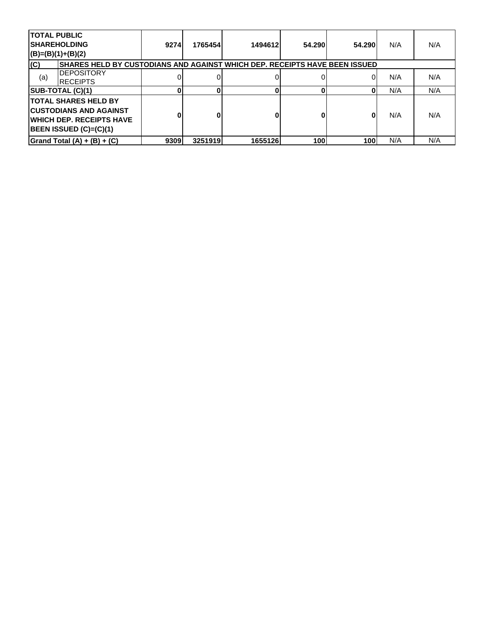| <b>TOTAL PUBLIC</b> | <b>SHAREHOLDING</b><br>$(B)=(B)(1)+(B)(2)$                                                                                                       | 9274l | 1765454 | 1494612 | 54.290 | 54.290 | N/A | N/A |
|---------------------|--------------------------------------------------------------------------------------------------------------------------------------------------|-------|---------|---------|--------|--------|-----|-----|
| (C)                 | SHARES HELD BY CUSTODIANS AND AGAINST WHICH DEP. RECEIPTS HAVE BEEN ISSUED                                                                       |       |         |         |        |        |     |     |
| (a)                 | <b>DEPOSITORY</b><br><b>IRECEIPTS</b>                                                                                                            |       |         |         |        |        | N/A | N/A |
|                     | SUB-TOTAL (C)(1)                                                                                                                                 | 0     |         |         |        | 0      | N/A | N/A |
|                     | <b>ITOTAL SHARES HELD BY</b><br><b>ICUSTODIANS AND AGAINST</b><br><b>IWHICH DEP. RECEIPTS HAVE</b><br><b>BEEN ISSUED <math>(C)=(C)(1)</math></b> | 0     |         |         |        | 0      | N/A | N/A |
|                     | Grand Total $(A) + (B) + (C)$                                                                                                                    | 9309  | 3251919 | 1655126 | 100    | 100    | N/A | N/A |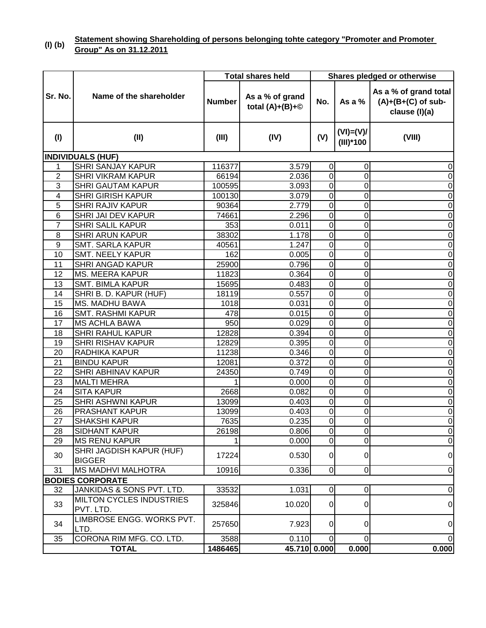#### **(I) (b) Statement showing Shareholding of persons belonging tohte category "Promoter and Promoter Group" As on 31.12.2011**

|                  |                                              |               | <b>Total shares held</b>             | <b>Shares pledged or otherwise</b> |                            |                                                                |
|------------------|----------------------------------------------|---------------|--------------------------------------|------------------------------------|----------------------------|----------------------------------------------------------------|
| Sr. No.          | Name of the shareholder                      | <b>Number</b> | As a % of grand<br>total $(A)+(B)+@$ | No.                                | As a $%$                   | As a % of grand total<br>$(A)+(B+(C)$ of sub-<br>clause (I)(a) |
| (1)              | (II)                                         | (III)         | (IV)                                 | (V)                                | $(VI) = (V)I$<br>(III)*100 | (VIII)                                                         |
|                  | <b>INDIVIDUALS (HUF)</b>                     |               |                                      |                                    |                            |                                                                |
| 1                | <b>SHRI SANJAY KAPUR</b>                     | 116377        | 3.579                                | $\mathbf 0$                        | 0                          | 0                                                              |
| $\overline{2}$   | <b>SHRI VIKRAM KAPUR</b>                     | 66194         | 2.036                                | $\overline{0}$                     | $\overline{0}$             | 0                                                              |
| 3                | <b>SHRI GAUTAM KAPUR</b>                     | 100595        | 3.093                                | $\overline{0}$                     | $\mathbf 0$                | 0                                                              |
| 4                | <b>SHRI GIRISH KAPUR</b>                     | 100130        | 3.079                                | $\mathbf 0$                        | 0                          | 0                                                              |
| 5                | <b>SHRI RAJIV KAPUR</b>                      | 90364         | 2.779                                | $\mathbf 0$                        | 0                          | $\mathbf 0$                                                    |
| 6                | SHRI JAI DEV KAPUR                           | 74661         | 2.296                                | $\overline{0}$                     | 0                          | 0                                                              |
| $\overline{7}$   | <b>SHRI SALIL KAPUR</b>                      | 353           | 0.011                                | $\overline{0}$                     | 0                          | $\mathbf 0$                                                    |
| 8                | <b>SHRI ARUN KAPUR</b>                       | 38302         | 1.178                                | $\overline{0}$                     | 0                          | $\mathbf 0$                                                    |
| $\boldsymbol{9}$ | SMT. SARLA KAPUR                             | 40561         | 1.247                                | $\mathbf 0$                        | 0                          | $\mathbf 0$                                                    |
| 10               | <b>SMT. NEELY KAPUR</b>                      | 162           | 0.005                                | $\overline{0}$                     | 0                          | 0                                                              |
| 11               | <b>SHRI ANGAD KAPUR</b>                      | 25900         | 0.796                                | $\overline{0}$                     | 0                          | $\mathbf 0$                                                    |
| 12               | <b>MS. MEERA KAPUR</b>                       | 11823         | 0.364                                | $\mathbf 0$                        | 0                          | 0                                                              |
| 13               | <b>SMT. BIMLA KAPUR</b>                      | 15695         | 0.483                                | $\mathbf 0$                        | 0                          | 0                                                              |
| 14               | SHRI B. D. KAPUR (HUF)                       | 18119         | 0.557                                | $\mathbf 0$                        | 0                          | $\mathbf 0$                                                    |
| 15               | <b>MS. MADHU BAWA</b>                        | 1018          | 0.031                                | $\overline{0}$                     | 0                          | $\mathbf 0$                                                    |
| 16               | <b>SMT. RASHMI KAPUR</b>                     | 478           | 0.015                                | $\overline{0}$                     | 0                          | $\mathbf 0$                                                    |
| 17               | <b>MS ACHLA BAWA</b>                         | 950           | 0.029                                | $\overline{0}$                     | 0                          | $\mathbf 0$                                                    |
| 18               | <b>SHRI RAHUL KAPUR</b>                      | 12828         | 0.394                                | $\overline{0}$                     | 0                          | 0                                                              |
| 19               | <b>SHRI RISHAV KAPUR</b>                     | 12829         | 0.395                                | $\overline{0}$                     | 0                          | 0                                                              |
| 20               | RADHIKA KAPUR                                | 11238         | 0.346                                | $\overline{0}$                     | 0                          | 0                                                              |
| 21               | <b>BINDU KAPUR</b>                           | 12081         | 0.372                                | $\mathbf 0$                        | 0                          | $\mathbf 0$                                                    |
| 22               | <b>SHRI ABHINAV KAPUR</b>                    | 24350         | 0.749                                | $\mathbf 0$                        | 0                          | 0                                                              |
| 23               | <b>MALTI MEHRA</b>                           |               | 0.000                                | $\overline{0}$                     | 0                          | $\mathbf 0$                                                    |
| 24               | <b>SITA KAPUR</b>                            | 2668          | 0.082                                | $\overline{0}$                     | 0                          | $\mathbf 0$                                                    |
| 25               | <b>SHRI ASHWNI KAPUR</b>                     | 13099         | 0.403                                | $\overline{0}$                     | 0                          | $\mathbf 0$                                                    |
| 26               | PRASHANT KAPUR                               | 13099         | 0.403                                | $\overline{0}$                     | 0                          | 0                                                              |
| 27               | <b>SHAKSHI KAPUR</b>                         | 7635          | 0.235                                | $\overline{0}$                     | $\Omega$                   | $\overline{0}$                                                 |
| 28               | <b>SIDHANT KAPUR</b>                         | 26198         | 0.806                                | $\pmb{0}$                          | 0                          | $\pmb{0}$                                                      |
| 29               | <b>MS RENU KAPUR</b>                         |               | 0.000                                | $\overline{0}$                     | 0                          | $\overline{0}$                                                 |
| 30               | SHRI JAGDISH KAPUR (HUF)<br><b>BIGGER</b>    | 17224         | 0.530                                | $\overline{0}$                     | 0                          | 0                                                              |
| 31               | <b>MS MADHVI MALHOTRA</b>                    | 10916         | 0.336                                | $\overline{0}$                     | $\overline{0}$             | $\overline{0}$                                                 |
|                  | <b>BODIES CORPORATE</b>                      |               |                                      |                                    |                            |                                                                |
| 32               | JANKIDAS & SONS PVT. LTD.                    | 33532         | 1.031                                | $\pmb{0}$                          | 0                          | $\pmb{0}$                                                      |
| 33               | <b>MILTON CYCLES INDUSTRIES</b><br>PVT. LTD. | 325846        | 10.020                               | $\overline{0}$                     | 0                          | $\overline{0}$                                                 |
| 34               | LIMBROSE ENGG. WORKS PVT.<br>LTD.            | 257650        | 7.923                                | $\overline{0}$                     | 0                          | $\overline{0}$                                                 |
| 35               | CORONA RIM MFG. CO. LTD.                     | 3588          | 0.110                                | $\overline{0}$                     | 0                          | $\overline{0}$                                                 |
|                  | <b>TOTAL</b>                                 | 1486465       | 45.710 0.000                         |                                    | 0.000                      | 0.000                                                          |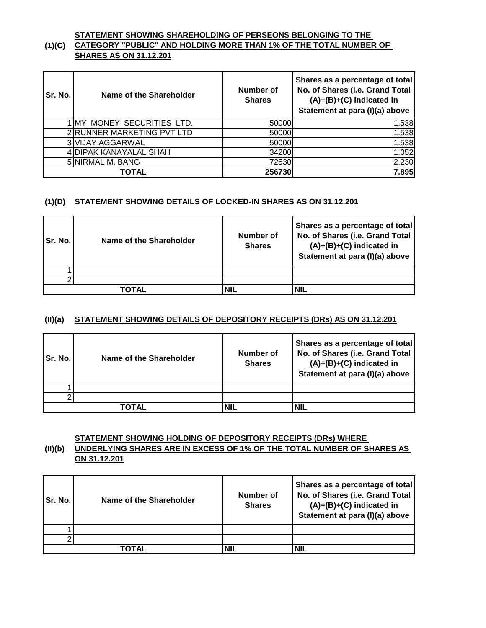#### **(1)(C) CATEGORY "PUBLIC" AND HOLDING MORE THAN 1% OF THE TOTAL NUMBER OF STATEMENT SHOWING SHAREHOLDING OF PERSEONS BELONGING TO THE SHARES AS ON 31.12.201**

| Sr. No. | Name of the Shareholder    | Number of<br><b>Shares</b> | Shares as a percentage of total<br>No. of Shares (i.e. Grand Total<br>$(A)+(B)+(C)$ indicated in<br>Statement at para (I)(a) above |
|---------|----------------------------|----------------------------|------------------------------------------------------------------------------------------------------------------------------------|
|         | IMY MONEY SECURITIES LTD.  | 50000                      | 1.538                                                                                                                              |
|         | 2 RUNNER MARKETING PVT LTD | 50000                      | 1.538                                                                                                                              |
|         | 3 VIJAY AGGARWAL           | 50000                      | 1.538                                                                                                                              |
|         | 4 DIPAK KANAYALAL SHAH     | 34200                      | 1.052                                                                                                                              |
|         | 5 NIRMAL M. BANG           | 72530                      | 2.230                                                                                                                              |
|         | TOTAL                      | 256730                     | 7.895                                                                                                                              |

#### **(1)(D) STATEMENT SHOWING DETAILS OF LOCKED-IN SHARES AS ON 31.12.201**

| Sr. No. | Name of the Shareholder | Number of<br><b>Shares</b> | Shares as a percentage of total<br>No. of Shares (i.e. Grand Total<br>$(A)+(B)+(C)$ indicated in<br>Statement at para (I)(a) above |
|---------|-------------------------|----------------------------|------------------------------------------------------------------------------------------------------------------------------------|
|         |                         |                            |                                                                                                                                    |
|         |                         |                            |                                                                                                                                    |
|         | TOTAL                   | NIL                        | NIL                                                                                                                                |

#### **(II)(a) STATEMENT SHOWING DETAILS OF DEPOSITORY RECEIPTS (DRs) AS ON 31.12.201**

| Sr. No. | Name of the Shareholder | Number of<br><b>Shares</b> | Shares as a percentage of total<br>No. of Shares (i.e. Grand Total<br>$(A)+(B)+(C)$ indicated in<br>Statement at para (I)(a) above |
|---------|-------------------------|----------------------------|------------------------------------------------------------------------------------------------------------------------------------|
|         |                         |                            |                                                                                                                                    |
|         |                         |                            |                                                                                                                                    |
|         | ΤΟΤΑL                   |                            | NIL                                                                                                                                |

#### **STATEMENT SHOWING HOLDING OF DEPOSITORY RECEIPTS (DRs) WHERE**

#### **(II)(b) UNDERLYING SHARES ARE IN EXCESS OF 1% OF THE TOTAL NUMBER OF SHARES AS ON 31.12.201**

| Sr. No. | Name of the Shareholder | Number of<br><b>Shares</b> | Shares as a percentage of total<br>No. of Shares (i.e. Grand Total<br>$(A)+(B)+(C)$ indicated in<br>Statement at para (I)(a) above |
|---------|-------------------------|----------------------------|------------------------------------------------------------------------------------------------------------------------------------|
|         |                         |                            |                                                                                                                                    |
|         |                         |                            |                                                                                                                                    |
|         | ΤΟΤΑL                   |                            | NIL                                                                                                                                |